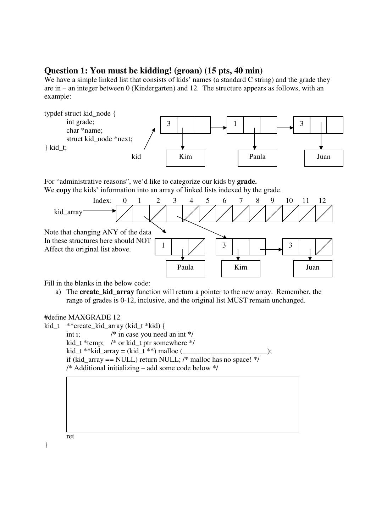## **Question 1: You must be kidding! (groan) (15 pts, 40 min)**

We have a simple linked list that consists of kids' names (a standard C string) and the grade they are in – an integer between 0 (Kindergarten) and 12. The structure appears as follows, with an example:



For "administrative reasons", we'd like to categorize our kids by **grade.** We **copy** the kids' information into an array of linked lists indexed by the grade.



Fill in the blanks in the below code:

a) The **create\_kid\_array** function will return a pointer to the new array. Remember, the range of grades is 0-12, inclusive, and the original list MUST remain unchanged.

#define MAXGRADE 12

```
kid_t **create_kid_array (kid_t *kid) { 
       int i; /* in case you need an int */ 
       kid_t *temp; /* or kid_t ptr somewhere */ 
kid_t **kid_array = (kid_t **) malloc ( if (kid_array == NULL) return NULL; /* malloc has no space! */ 
       /* Additional initializing – add some code below */
```


}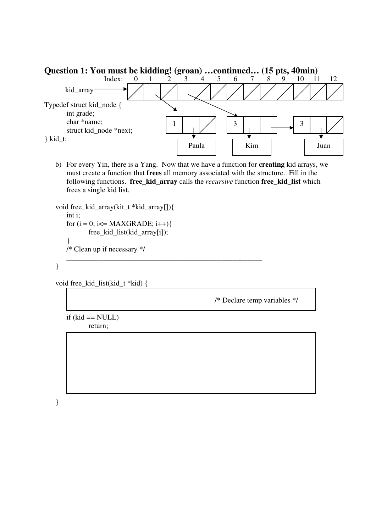

b) For every Yin, there is a Yang. Now that we have a function for **creating** kid arrays, we must create a function that **frees** all memory associated with the structure. Fill in the following functions. **free\_kid\_array** calls the *recursive* function **free\_kid\_list** which frees a single kid list.

\_\_\_\_\_\_\_\_\_\_\_\_\_\_\_\_\_\_\_\_\_\_\_\_\_\_\_\_\_\_\_\_\_\_\_\_\_\_\_\_\_\_\_\_\_\_\_\_\_\_\_\_\_

```
void free_kid_array(kit_t *kid_array[]){ 
    int i; 
   for (i = 0; i \leq MAXGRADE; i++) free_kid_list(kid_array[i]); 
     }
```
/\* Clean up if necessary \*/

}

void free\_kid\_list(kid\_t \*kid) {

/\* Declare temp variables \*/

 $if (kid == NULL)$ return;

}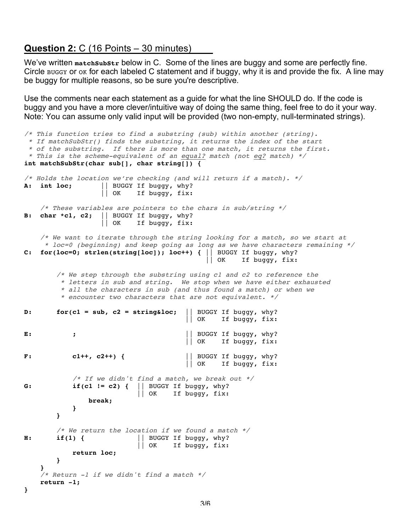## **Question 2:** C (16 Points – 30 minutes)

We've written matchsubstr below in C. Some of the lines are buggy and some are perfectly fine. Circle Buggy or ok for each labeled C statement and if buggy, why it is and provide the fix. A line may be buggy for multiple reasons, so be sure you're descriptive.

Use the comments near each statement as a guide for what the line SHOULD do. If the code is buggy and you have a more clever/intuitive way of doing the same thing, feel free to do it your way. Note: You can assume only valid input will be provided (two non-empty, null-terminated strings).

```
/* This function tries to find a substring (sub) within another (string).
   * If matchSubStr() finds the substring, it returns the index of the start
  * of the substring. If there is more than one match, it returns the first.
  * This is the scheme-equivalent of an equal? match (not eq? match) */
int matchSubStr(char sub[], char string[]) {
/* Holds the location we're checking (and will return if a match). */
A: int loc; || BUGGY If buggy, why?
                          || OK If buggy, fix:
      /* These variables are pointers to the chars in sub/string */
B: char *c1, c2; \begin{vmatrix} \text{BUGGY} & \text{If} & \text{buggy, why?} \\ \text{OK} & \text{If} & \text{buggy, fix:} \end{vmatrix}If buggy, fix:
      /* We want to iterate through the string looking for a match, so we start at
        * loc=0 (beginning) and keep going as long as we have characters remaining */
C: for(loc=0; strlen(string[loc]); loc++) { || BUGGY If buggy, why?
                                                            || OK If buggy, fix:
          /* We step through the substring using c1 and c2 to reference the
             * letters in sub and string. We stop when we have either exhausted 
             * all the characters in sub (and thus found a match) or when we 
             * encounter two characters that are not equivalent. */
D: for(c1 = sub, c2 = stringkloc; || BUGGY If buggy, why?
                                                     || OK If buggy, fix:
E: \boldsymbol{\epsilon} ; \boldsymbol{\epsilon} = \boldsymbol{\epsilon} = \boldsymbol{\epsilon} = \boldsymbol{\epsilon} = \boldsymbol{\epsilon} = \boldsymbol{\epsilon} = \boldsymbol{\epsilon} = \boldsymbol{\epsilon} = \boldsymbol{\epsilon} = \boldsymbol{\epsilon} = \boldsymbol{\epsilon} = \boldsymbol{\epsilon} = \boldsymbol{\epsilon} = \boldsymbol{\epsilon} = \boldsymbol{\epsilon} = \boldsymbol{\epsilon} = \boldsymbol{\epsilon} = \boldsymbol{\epsilon} = \boldsymbol{\epsilon} || OK If buggy, fix:
F: c1++, c2++) { | BUGGY If buggy, why?<br>| OK If buggy, fix:
                                                               If buggy, fix:
               /* If we didn't find a match, we break out */G: if(c1 != c2) { || BUGGY If buggy, why?
                                      || OK If buggy, fix:
                     break;
 }
           }
           /* We return the location if we found a match */
H: \quad \text{if}(1) { || BUGGY If buggy, why?
                                     || OK If buggy, fix:
                return loc;
           }
 }
      /* Return -1 if we didn't find a match */
      return -1;
}
```